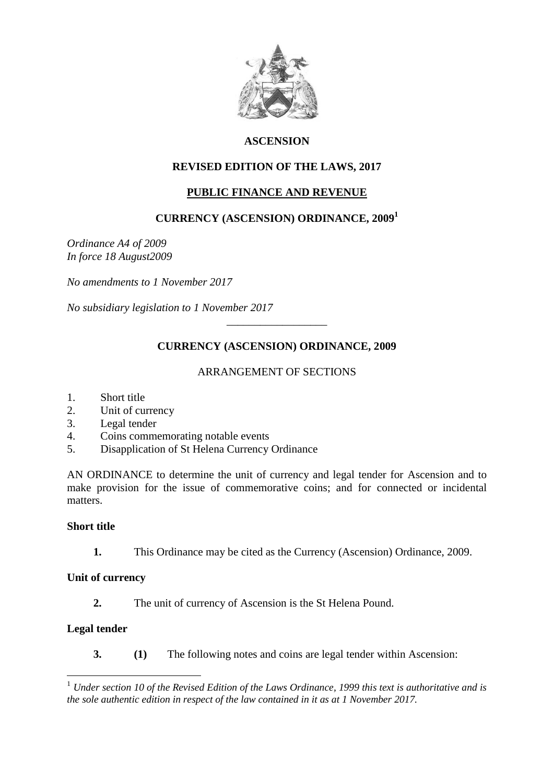

# **ASCENSION**

# **REVISED EDITION OF THE LAWS, 2017**

# **PUBLIC FINANCE AND REVENUE**

# **CURRENCY (ASCENSION) ORDINANCE, 2009<sup>1</sup>**

*Ordinance A4 of 2009 In force 18 August2009*

*No amendments to 1 November 2017*

*No subsidiary legislation to 1 November 2017*

## **CURRENCY (ASCENSION) ORDINANCE, 2009**

\_\_\_\_\_\_\_\_\_\_\_\_\_\_\_\_\_\_

### ARRANGEMENT OF SECTIONS

- 1. Short title
- 2. Unit of currency
- 3. Legal tender
- 4. Coins commemorating notable events
- 5. Disapplication of St Helena Currency Ordinance

AN ORDINANCE to determine the unit of currency and legal tender for Ascension and to make provision for the issue of commemorative coins; and for connected or incidental matters.

#### **Short title**

**1.** This Ordinance may be cited as the Currency (Ascension) Ordinance, 2009.

### **Unit of currency**

**2.** The unit of currency of Ascension is the St Helena Pound.

## **Legal tender**

1

**3. (1)** The following notes and coins are legal tender within Ascension:

<sup>1</sup> *Under section 10 of the Revised Edition of the Laws Ordinance, 1999 this text is authoritative and is the sole authentic edition in respect of the law contained in it as at 1 November 2017.*